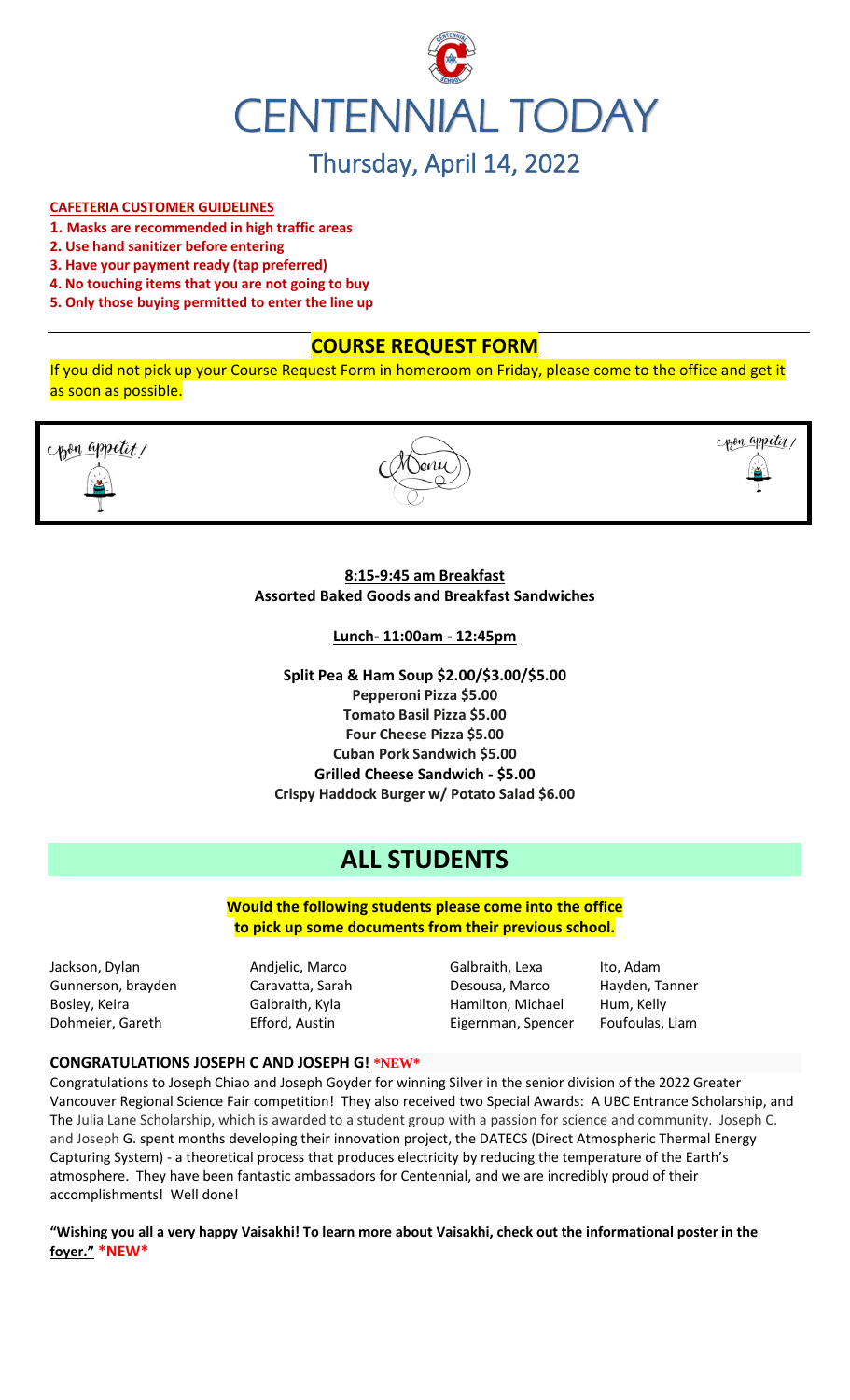

#### **CAFETERIA CUSTOMER GUIDELINES**

- **1. Masks are recommended in high traffic areas**
- **2. Use hand sanitizer before entering**
- **3. Have your payment ready (tap preferred)**
- **4. No touching items that you are not going to buy**
- **5. Only those buying permitted to enter the line up**

## **COURSE REQUEST FORM**

If you did not pick up your Course Request Form in homeroom on Friday, please come to the office and get it as soon as possible.





copen appetit,

#### **8:15-9:45 am Breakfast Assorted Baked Goods and Breakfast Sandwiches**

**Lunch- 11:00am - 12:45pm**

**Split Pea & Ham Soup \$2.00/\$3.00/\$5.00 Pepperoni Pizza \$5.00 Tomato Basil Pizza \$5.00 Four Cheese Pizza \$5.00 Cuban Pork Sandwich \$5.00 Grilled Cheese Sandwich - \$5.00 Crispy Haddock Burger w/ Potato Salad \$6.00**

# **ALL STUDENTS**

**Would the following students please come into the office to pick up some documents from their previous school.**

Jackson, Dylan **Andielic, Marco** Galbraith, Lexa Ito, Adam Gunnerson, brayden Caravatta, Sarah Desousa, Marco Hayden, Tanner Bosley, Keira **Galbraith, Kyla** Hamilton, Michael Hum, Kelly Dohmeier, Gareth Efford, Austin Eigernman, Spencer Foufoulas, Liam

#### **CONGRATULATIONS JOSEPH C AND JOSEPH G! \*NEW\***

Congratulations to Joseph Chiao and Joseph Goyder for winning Silver in the senior division of the 2022 Greater Vancouver Regional Science Fair competition! They also received two Special Awards: A UBC Entrance Scholarship, and The Julia Lane Scholarship, which is awarded to a student group with a passion for science and community. Joseph C. and Joseph G. spent months developing their innovation project, the DATECS (Direct Atmospheric Thermal Energy Capturing System) - a theoretical process that produces electricity by reducing the temperature of the Earth's atmosphere. They have been fantastic ambassadors for Centennial, and we are incredibly proud of their accomplishments! Well done!

**"Wishing you all a very happy Vaisakhi! To learn more about Vaisakhi, check out the informational poster in the foyer." \*NEW\***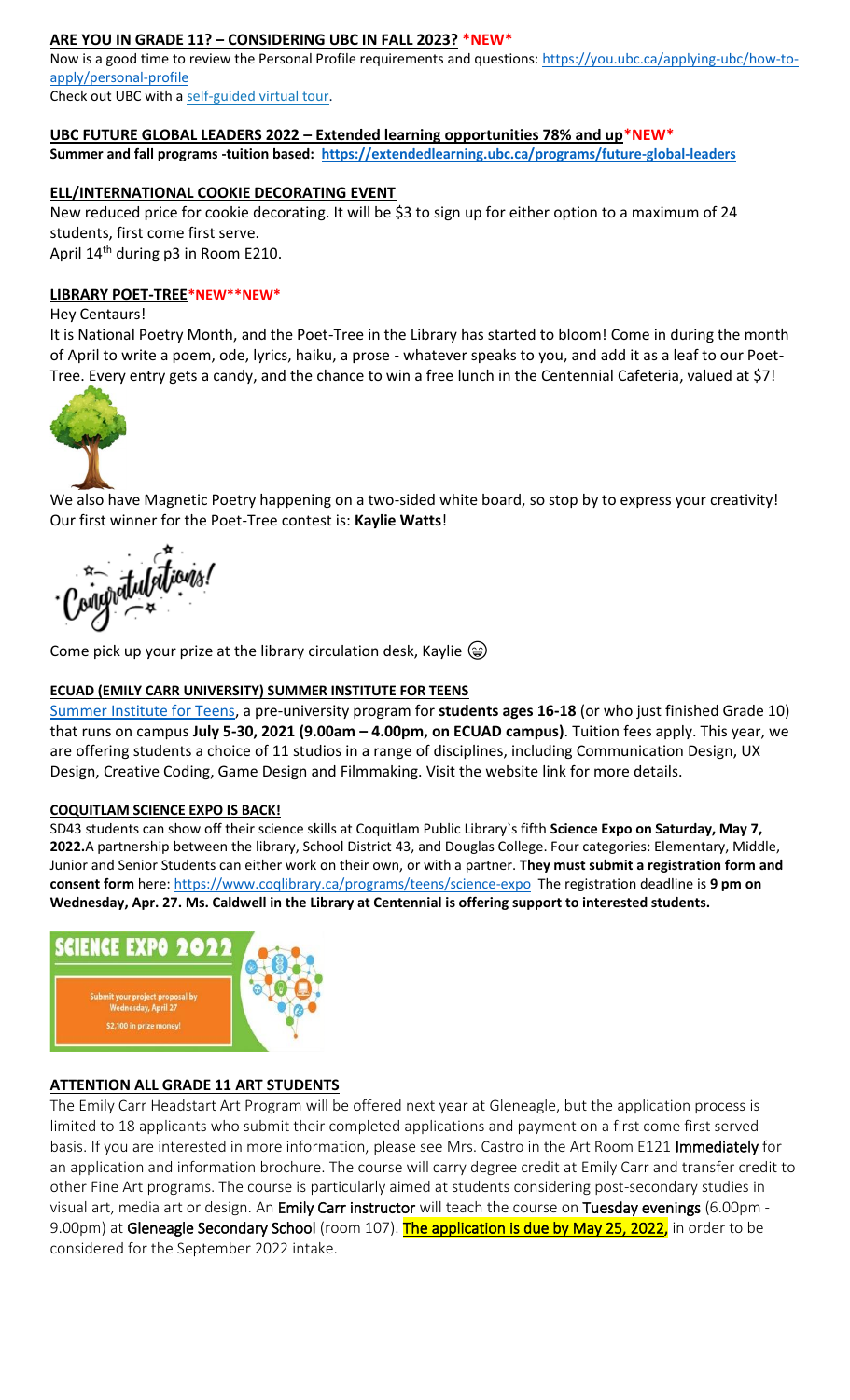## **ARE YOU IN GRADE 11? – CONSIDERING UBC IN FALL 2023? \*NEW\***

Now is a good time to review the Personal Profile requirements and questions: [https://you.ubc.ca/applying-ubc/how-to](https://you.ubc.ca/applying-ubc/how-to-apply/personal-profile)[apply/personal-profile](https://you.ubc.ca/applying-ubc/how-to-apply/personal-profile)

Check out UBC with a self-guided [virtual tour.](https://you.ubc.ca/tours-info-sessions/virtual-tour/)

#### **UBC FUTURE GLOBAL LEADERS 2022 – Extended learning opportunities 78% and up\*NEW\***

**Summer and fall programs -tuition based: <https://extendedlearning.ubc.ca/programs/future-global-leaders>**

#### **ELL/INTERNATIONAL COOKIE DECORATING EVENT**

New reduced price for cookie decorating. It will be \$3 to sign up for either option to a maximum of 24 students, first come first serve.

April 14<sup>th</sup> during p3 in Room E210.

#### **LIBRARY POET-TREE\*NEW\*\*NEW\***

#### Hey Centaurs!

It is National Poetry Month, and the Poet-Tree in the Library has started to bloom! Come in during the month of April to write a poem, ode, lyrics, haiku, a prose - whatever speaks to you, and add it as a leaf to our Poet-Tree. Every entry gets a candy, and the chance to win a free lunch in the Centennial Cafeteria, valued at \$7!



We also have Magnetic Poetry happening on a two-sided white board, so stop by to express your creativity! Our first winner for the Poet-Tree contest is: **Kaylie Watts**!

\*- atulations!

Come pick up your prize at the library circulation desk, Kaylie  $\circledast$ 

## **ECUAD (EMILY CARR UNIVERSITY) SUMMER INSTITUTE FOR TEENS**

[Summer Institute for Teens,](https://www.ecuad.ca/academics/teen-programs/summer-institute-for-teens) a pre-university program for **students ages 16-18** (or who just finished Grade 10) that runs on campus **July 5-30, 2021 (9.00am – 4.00pm, on ECUAD campus)**. Tuition fees apply. This year, we are offering students a choice of 11 studios in a range of disciplines, including Communication Design, UX Design, Creative Coding, Game Design and Filmmaking. Visit the website link for more details.

#### **COQUITLAM SCIENCE EXPO IS BACK!**

SD43 students can show off their science skills at Coquitlam Public Library`s fifth **Science Expo on Saturday, May 7, 2022.**A partnership between the library, School District 43, and Douglas College. Four categories: Elementary, Middle, Junior and Senior Students can either work on their own, or with a partner. **They must submit a registration form and consent form** here:<https://www.coqlibrary.ca/programs/teens/science-expo> The registration deadline is **9 pm on Wednesday, Apr. 27. Ms. Caldwell in the Library at Centennial is offering support to interested students.**



## **ATTENTION ALL GRADE 11 ART STUDENTS**

The Emily Carr Headstart Art Program will be offered next year at Gleneagle, but the application process is limited to 18 applicants who submit their completed applications and payment on a first come first served basis. If you are interested in more information, please see Mrs. Castro in the Art Room E121 Immediately for an application and information brochure. The course will carry degree credit at Emily Carr and transfer credit to other Fine Art programs. The course is particularly aimed at students considering post-secondary studies in visual art, media art or design. An Emily Carr instructor will teach the course on Tuesday evenings (6.00pm -9.00pm) at Gleneagle Secondary School (room 107). The application is due by May 25, 2022, in order to be considered for the September 2022 intake.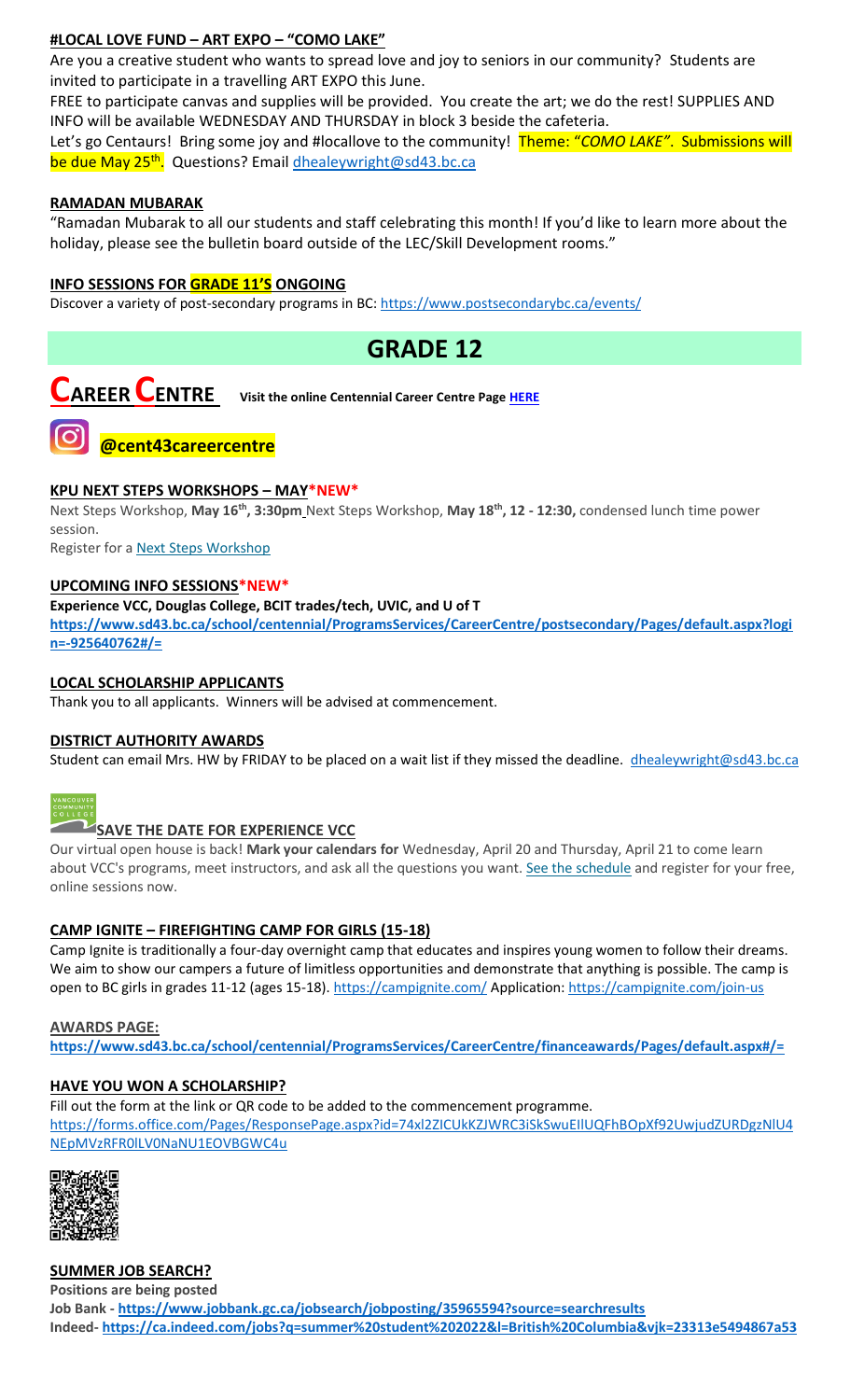## **#LOCAL LOVE FUND – ART EXPO – "COMO LAKE"**

Are you a creative student who wants to spread love and joy to seniors in our community? Students are invited to participate in a travelling ART EXPO this June.

FREE to participate canvas and supplies will be provided. You create the art; we do the rest! SUPPLIES AND INFO will be available WEDNESDAY AND THURSDAY in block 3 beside the cafeteria.

Let's go Centaurs! Bring some joy and #locallove to the community! Theme: "*COMO LAKE"*. Submissions will be due May 25<sup>th</sup>. Questions? Email <u>dhealeywright@sd43.bc.ca</u>

#### **RAMADAN MUBARAK**

"Ramadan Mubarak to all our students and staff celebrating this month! If you'd like to learn more about the holiday, please see the bulletin board outside of the LEC/Skill Development rooms."

## **INFO SESSIONS FOR GRADE 11'S ONGOING**

Discover a variety of post-secondary programs in BC:<https://www.postsecondarybc.ca/events/>

## **GRADE 12**





## **KPU NEXT STEPS WORKSHOPS – MAY\*NEW\***

Next Steps Workshop, **May 16th, 3:30pm** Next Steps Workshop, **May 18th, 12 - 12:30,** condensed lunch time power session.

Register for a **[Next Steps Workshop](http://crm-link.kpu.ca/c/7/eyJhaSI6MTY0ODQwMjEsImUiOiJkaGVhbGV5d3JpZ2h0QHNkNDMuYmMuY2EiLCJyaSI6ImNvbnRhY3QtNGZkMzgzYmJkZmY3ZWExMWE4MTUwMDBkM2EwYzhjNmQtZDI5MWU3MGZkMWYyNDJlYjk5OGU2OTFmYjc2ZGZmMjMiLCJycSI6IjAyLWIyMjEwMy0zOTg5OTViYTI1NGQ0NDE2YjBlMDQyODJkZjY3MTlhNiIsInBoIjpudWxsLCJtIjpmYWxzZSwidWkiOiIyIiwidW4iOiIiLCJ1IjoiaHR0cHM6Ly93d3cua3B1LmNhL2luZm8tc2Vzc2lvbnMvZnV0dXJlLXN0dWRlbnRzL25leHQtc3RlcHMvbWF5LTIwMjI_X2NsZGVlPVpNTFlTR1BPYXdvdUI0T0xzQnBsUHZFU0g1eUhvbnhCQlpuNFlnYzRINkV6V0ZWOVpLUWpKTmxic0hFM3RVQmImcmVjaXBpZW50aWQ9Y29udGFjdC00ZmQzODNiYmRmZjdlYTExYTgxNTAwMGQzYTBjOGM2ZC1kMjkxZTcwZmQxZjI0MmViOTk4ZTY5MWZiNzZkZmYyMyZlc2lkPTFkZmIzOThiLTRiYmItZWMxMS05ODNmLTAwMjI0ODNjYzE1YSJ9/SBu6RJHIXI6GRb2GoyGQMA)** 

#### **UPCOMING INFO SESSIONS\*NEW\***

#### **Experience VCC, Douglas College, BCIT trades/tech, UVIC, and U of T**

**[https://www.sd43.bc.ca/school/centennial/ProgramsServices/CareerCentre/postsecondary/Pages/default.aspx?logi](https://www.sd43.bc.ca/school/centennial/ProgramsServices/CareerCentre/postsecondary/Pages/default.aspx?login=-925640762#/=) [n=-925640762#/=](https://www.sd43.bc.ca/school/centennial/ProgramsServices/CareerCentre/postsecondary/Pages/default.aspx?login=-925640762#/=)**

#### **LOCAL SCHOLARSHIP APPLICANTS**

Thank you to all applicants. Winners will be advised at commencement.

#### **DISTRICT AUTHORITY AWARDS**

Student can email Mrs. HW by FRIDAY to be placed on a wait list if they missed the deadline. [dhealeywright@sd43.bc.ca](mailto:dhealeywright@sd43.bc.ca)



## **SAVE THE DATE FOR EXPERIENCE VCC**

Our virtual open house is back! **Mark your calendars for** Wednesday, April 20 and Thursday, April 21 to come learn about VCC's programs, meet instructors, and ask all the questions you want. [See the schedule](https://vcc.us2.list-manage.com/track/click?u=265d8acc7aa162eb26eb78d5e&id=8da9ab4282&e=d1966a5f66) and register for your free, online sessions now.

## **CAMP IGNITE – FIREFIGHTING CAMP FOR GIRLS (15-18)**

Camp Ignite is traditionally a four-day overnight camp that educates and inspires young women to follow their dreams. We aim to show our campers a future of limitless opportunities and demonstrate that anything is possible. The camp is open to BC girls in grades 11-12 (ages 15-18).<https://campignite.com/> Application:<https://campignite.com/join-us>

#### **AWARDS PAGE:**

**<https://www.sd43.bc.ca/school/centennial/ProgramsServices/CareerCentre/financeawards/Pages/default.aspx#/=>**

## **HAVE YOU WON A SCHOLARSHIP?**

Fill out the form at the link or QR code to be added to the commencement programme. [https://forms.office.com/Pages/ResponsePage.aspx?id=74xl2ZICUkKZJWRC3iSkSwuEIlUQFhBOpXf92UwjudZURDgzNlU4](https://forms.office.com/Pages/ResponsePage.aspx?id=74xl2ZICUkKZJWRC3iSkSwuEIlUQFhBOpXf92UwjudZURDgzNlU4NEpMVzRFR0lLV0NaNU1EOVBGWC4u) [NEpMVzRFR0lLV0NaNU1EOVBGWC4u](https://forms.office.com/Pages/ResponsePage.aspx?id=74xl2ZICUkKZJWRC3iSkSwuEIlUQFhBOpXf92UwjudZURDgzNlU4NEpMVzRFR0lLV0NaNU1EOVBGWC4u)



#### **SUMMER JOB SEARCH?**

**Positions are being posted Job Bank - <https://www.jobbank.gc.ca/jobsearch/jobposting/35965594?source=searchresults> Indeed- <https://ca.indeed.com/jobs?q=summer%20student%202022&l=British%20Columbia&vjk=23313e5494867a53>**